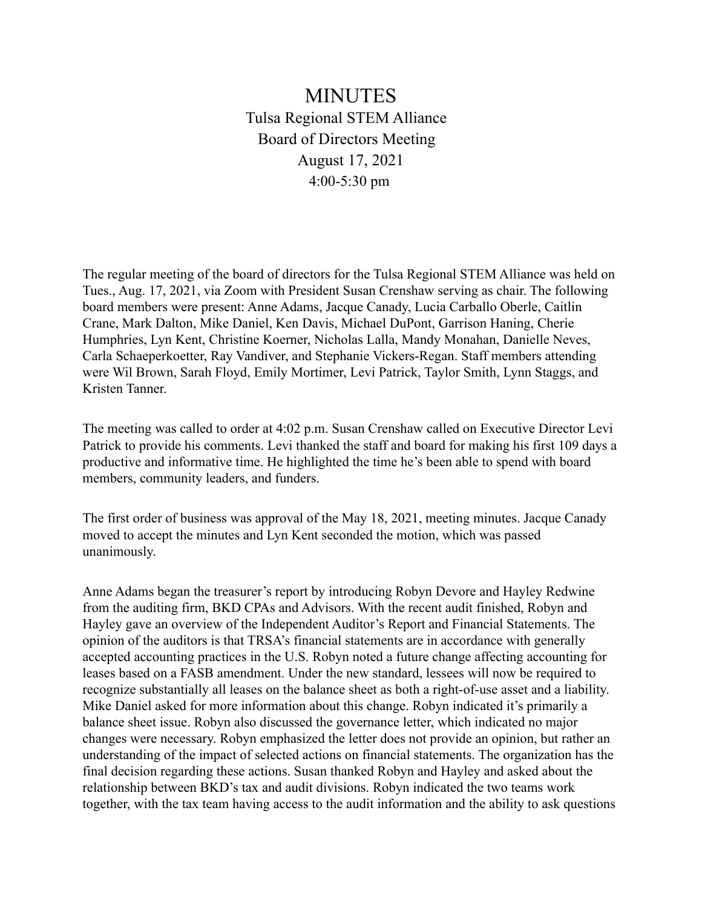## MINUTES Tulsa Regional STEM Alliance Board of Directors Meeting August 17, 2021 4:00-5:30 pm

The regular meeting of the board of directors for the Tulsa Regional STEM Alliance was held on Tues., Aug. 17, 2021, via Zoom with President Susan Crenshaw serving as chair. The following board members were present: Anne Adams, Jacque Canady, Lucia Carballo Oberle, Caitlin Crane, Mark Dalton, Mike Daniel, Ken Davis, Michael DuPont, Garrison Haning, Cherie Humphries, Lyn Kent, Christine Koerner, Nicholas Lalla, Mandy Monahan, Danielle Neves, Carla Schaeperkoetter, Ray Vandiver, and Stephanie Vickers-Regan. Staff members attending were Wil Brown, Sarah Floyd, Emily Mortimer, Levi Patrick, Taylor Smith, Lynn Staggs, and Kristen Tanner.

The meeting was called to order at 4:02 p.m. Susan Crenshaw called on Executive Director Levi Patrick to provide his comments. Levi thanked the staff and board for making his first 109 days a productive and informative time. He highlighted the time he's been able to spend with board members, community leaders, and funders.

The first order of business was approval of the May 18, 2021, meeting minutes. Jacque Canady moved to accept the minutes and Lyn Kent seconded the motion, which was passed unanimously.

Anne Adams began the treasurer's report by introducing Robyn Devore and Hayley Redwine from the auditing firm, BKD CPAs and Advisors. With the recent audit finished, Robyn and Hayley gave an overview of the Independent Auditor's Report and Financial Statements. The opinion of the auditors is that TRSA's financial statements are in accordance with generally accepted accounting practices in the U.S. Robyn noted a future change affecting accounting for leases based on a FASB amendment. Under the new standard, lessees will now be required to recognize substantially all leases on the balance sheet as both a right-of-use asset and a liability. Mike Daniel asked for more information about this change. Robyn indicated it's primarily a balance sheet issue. Robyn also discussed the governance letter, which indicated no major changes were necessary. Robyn emphasized the letter does not provide an opinion, but rather an understanding of the impact of selected actions on financial statements. The organization has the final decision regarding these actions. Susan thanked Robyn and Hayley and asked about the relationship between BKD's tax and audit divisions. Robyn indicated the two teams work together, with the tax team having access to the audit information and the ability to ask questions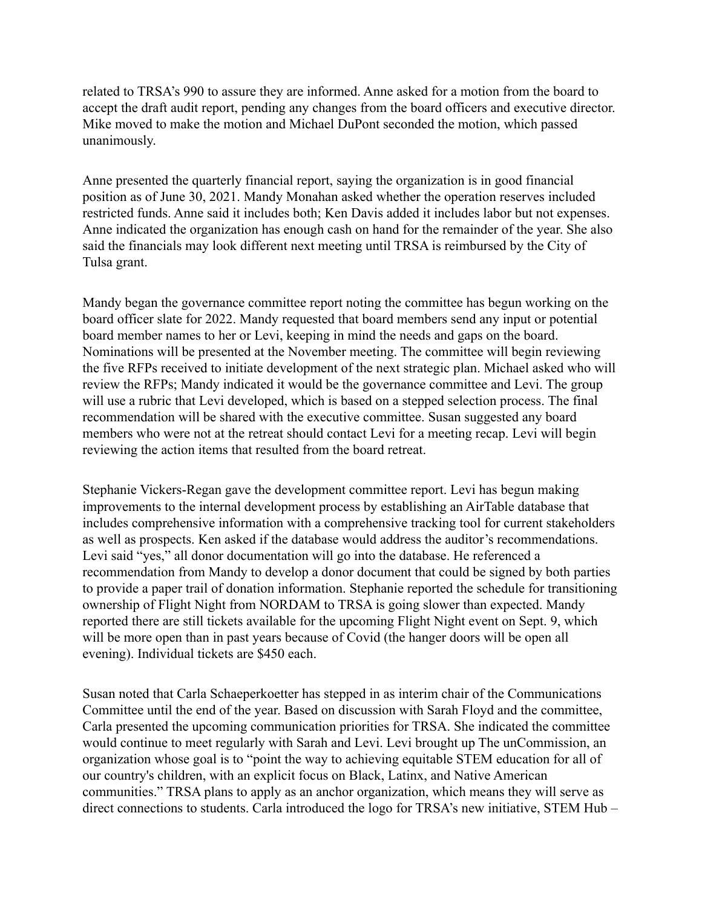related to TRSA's 990 to assure they are informed. Anne asked for a motion from the board to accept the draft audit report, pending any changes from the board officers and executive director. Mike moved to make the motion and Michael DuPont seconded the motion, which passed unanimously.

Anne presented the quarterly financial report, saying the organization is in good financial position as of June 30, 2021. Mandy Monahan asked whether the operation reserves included restricted funds. Anne said it includes both; Ken Davis added it includes labor but not expenses. Anne indicated the organization has enough cash on hand for the remainder of the year. She also said the financials may look different next meeting until TRSA is reimbursed by the City of Tulsa grant.

Mandy began the governance committee report noting the committee has begun working on the board officer slate for 2022. Mandy requested that board members send any input or potential board member names to her or Levi, keeping in mind the needs and gaps on the board. Nominations will be presented at the November meeting. The committee will begin reviewing the five RFPs received to initiate development of the next strategic plan. Michael asked who will review the RFPs; Mandy indicated it would be the governance committee and Levi. The group will use a rubric that Levi developed, which is based on a stepped selection process. The final recommendation will be shared with the executive committee. Susan suggested any board members who were not at the retreat should contact Levi for a meeting recap. Levi will begin reviewing the action items that resulted from the board retreat.

Stephanie Vickers-Regan gave the development committee report. Levi has begun making improvements to the internal development process by establishing an AirTable database that includes comprehensive information with a comprehensive tracking tool for current stakeholders as well as prospects. Ken asked if the database would address the auditor's recommendations. Levi said "yes," all donor documentation will go into the database. He referenced a recommendation from Mandy to develop a donor document that could be signed by both parties to provide a paper trail of donation information. Stephanie reported the schedule for transitioning ownership of Flight Night from NORDAM to TRSA is going slower than expected. Mandy reported there are still tickets available for the upcoming Flight Night event on Sept. 9, which will be more open than in past years because of Covid (the hanger doors will be open all evening). Individual tickets are \$450 each.

Susan noted that Carla Schaeperkoetter has stepped in as interim chair of the Communications Committee until the end of the year. Based on discussion with Sarah Floyd and the committee, Carla presented the upcoming communication priorities for TRSA. She indicated the committee would continue to meet regularly with Sarah and Levi. Levi brought up The unCommission, an organization whose goal is to "point the way to achieving equitable STEM education for all of our country's children, with an explicit focus on Black, Latinx, and Native American communities." TRSA plans to apply as an anchor organization, which means they will serve as direct connections to students. Carla introduced the logo for TRSA's new initiative, STEM Hub –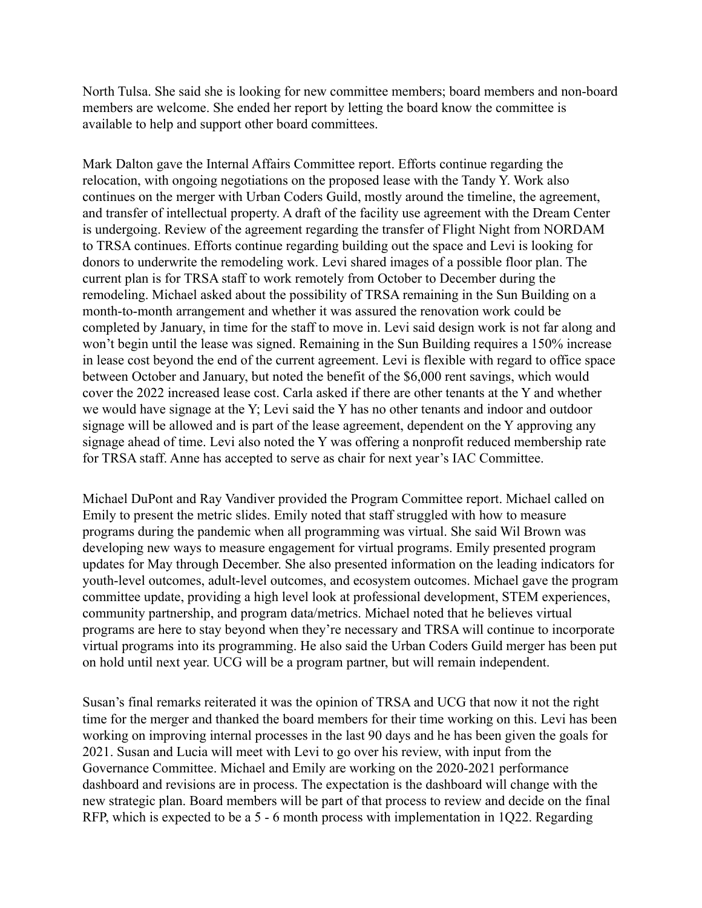North Tulsa. She said she is looking for new committee members; board members and non-board members are welcome. She ended her report by letting the board know the committee is available to help and support other board committees.

Mark Dalton gave the Internal Affairs Committee report. Efforts continue regarding the relocation, with ongoing negotiations on the proposed lease with the Tandy Y. Work also continues on the merger with Urban Coders Guild, mostly around the timeline, the agreement, and transfer of intellectual property. A draft of the facility use agreement with the Dream Center is undergoing. Review of the agreement regarding the transfer of Flight Night from NORDAM to TRSA continues. Efforts continue regarding building out the space and Levi is looking for donors to underwrite the remodeling work. Levi shared images of a possible floor plan. The current plan is for TRSA staff to work remotely from October to December during the remodeling. Michael asked about the possibility of TRSA remaining in the Sun Building on a month-to-month arrangement and whether it was assured the renovation work could be completed by January, in time for the staff to move in. Levi said design work is not far along and won't begin until the lease was signed. Remaining in the Sun Building requires a 150% increase in lease cost beyond the end of the current agreement. Levi is flexible with regard to office space between October and January, but noted the benefit of the \$6,000 rent savings, which would cover the 2022 increased lease cost. Carla asked if there are other tenants at the Y and whether we would have signage at the Y; Levi said the Y has no other tenants and indoor and outdoor signage will be allowed and is part of the lease agreement, dependent on the Y approving any signage ahead of time. Levi also noted the Y was offering a nonprofit reduced membership rate for TRSA staff. Anne has accepted to serve as chair for next year's IAC Committee.

Michael DuPont and Ray Vandiver provided the Program Committee report. Michael called on Emily to present the metric slides. Emily noted that staff struggled with how to measure programs during the pandemic when all programming was virtual. She said Wil Brown was developing new ways to measure engagement for virtual programs. Emily presented program updates for May through December. She also presented information on the leading indicators for youth-level outcomes, adult-level outcomes, and ecosystem outcomes. Michael gave the program committee update, providing a high level look at professional development, STEM experiences, community partnership, and program data/metrics. Michael noted that he believes virtual programs are here to stay beyond when they're necessary and TRSA will continue to incorporate virtual programs into its programming. He also said the Urban Coders Guild merger has been put on hold until next year. UCG will be a program partner, but will remain independent.

Susan's final remarks reiterated it was the opinion of TRSA and UCG that now it not the right time for the merger and thanked the board members for their time working on this. Levi has been working on improving internal processes in the last 90 days and he has been given the goals for 2021. Susan and Lucia will meet with Levi to go over his review, with input from the Governance Committee. Michael and Emily are working on the 2020-2021 performance dashboard and revisions are in process. The expectation is the dashboard will change with the new strategic plan. Board members will be part of that process to review and decide on the final RFP, which is expected to be a 5 - 6 month process with implementation in 1Q22. Regarding